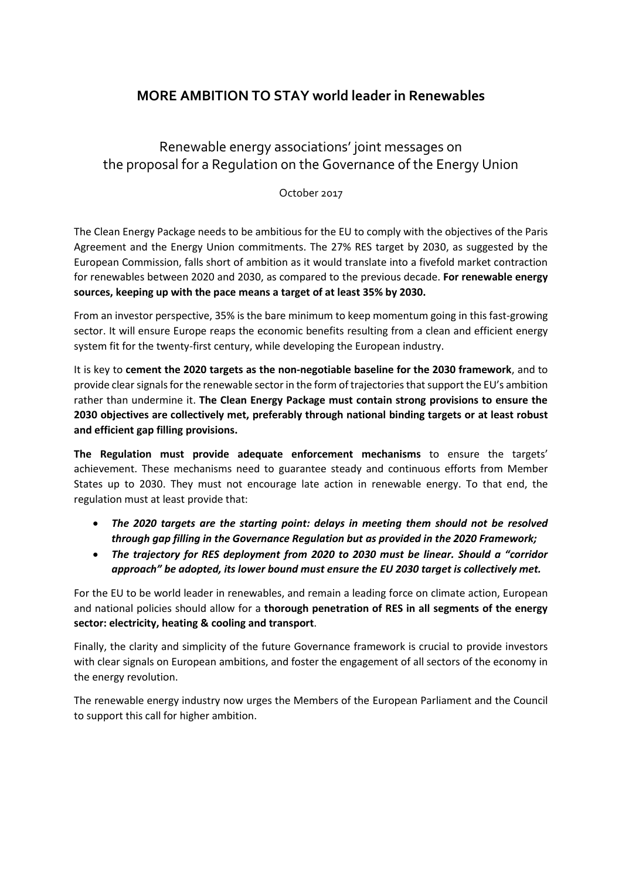## **MORE AMBITION TO STAY world leader in Renewables**

## Renewable energy associations' joint messages on the proposal for a Regulation on the Governance of the Energy Union

October 2017

The Clean Energy Package needs to be ambitious for the EU to comply with the objectives of the Paris Agreement and the Energy Union commitments. The 27% RES target by 2030, as suggested by the European Commission, falls short of ambition as it would translate into a fivefold market contraction for renewables between 2020 and 2030, as compared to the previous decade. **For renewable energy sources, keeping up with the pace means a target of at least 35% by 2030.**

From an investor perspective, 35% is the bare minimum to keep momentum going in this fast-growing sector. It will ensure Europe reaps the economic benefits resulting from a clean and efficient energy system fit for the twenty-first century, while developing the European industry.

It is key to **cement the 2020 targets as the non-negotiable baseline for the 2030 framework**, and to provide clear signals for the renewable sector in the form of trajectories that support the EU's ambition rather than undermine it. **The Clean Energy Package must contain strong provisions to ensure the 2030 objectives are collectively met, preferably through national binding targets or at least robust and efficient gap filling provisions.**

**The Regulation must provide adequate enforcement mechanisms** to ensure the targets' achievement. These mechanisms need to guarantee steady and continuous efforts from Member States up to 2030. They must not encourage late action in renewable energy. To that end, the regulation must at least provide that:

- *The 2020 targets are the starting point: delays in meeting them should not be resolved through gap filling in the Governance Regulation but as provided in the 2020 Framework;*
- *The trajectory for RES deployment from 2020 to 2030 must be linear. Should a "corridor approach" be adopted, its lower bound must ensure the EU 2030 target is collectively met.*

For the EU to be world leader in renewables, and remain a leading force on climate action, European and national policies should allow for a **thorough penetration of RES in all segments of the energy sector: electricity, heating & cooling and transport**.

Finally, the clarity and simplicity of the future Governance framework is crucial to provide investors with clear signals on European ambitions, and foster the engagement of all sectors of the economy in the energy revolution.

The renewable energy industry now urges the Members of the European Parliament and the Council to support this call for higher ambition.